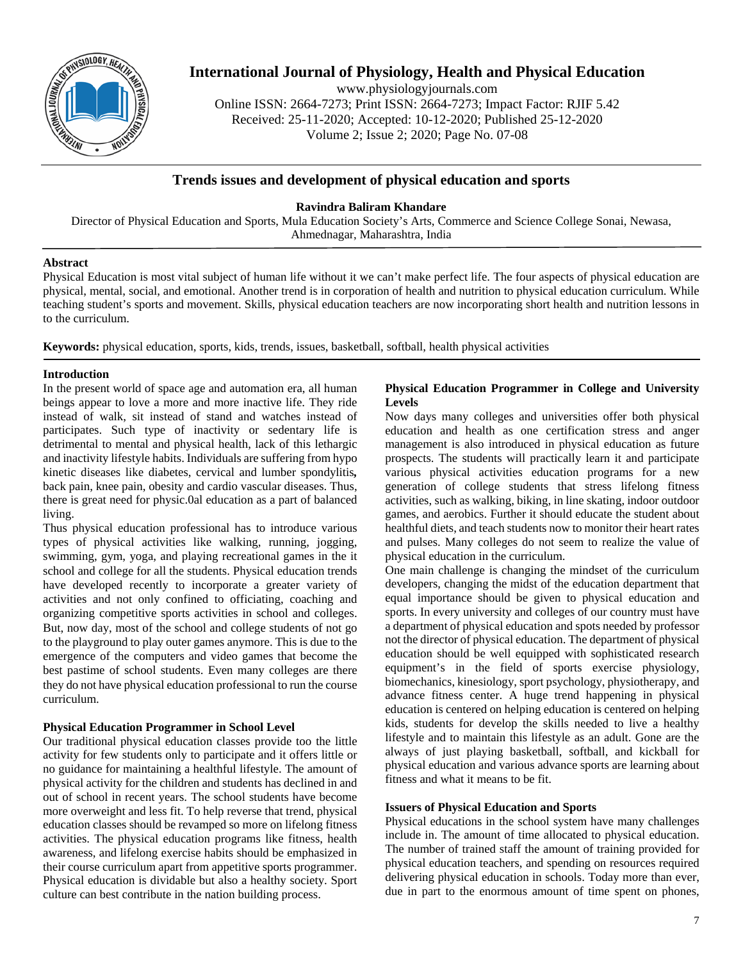

# **International Journal of Physiology, Health and Physical Education**

www.physiologyjournals.com Online ISSN: 2664-7273; Print ISSN: 2664-7273; Impact Factor: RJIF 5.42 Received: 25-11-2020; Accepted: 10-12-2020; Published 25-12-2020 Volume 2; Issue 2; 2020; Page No. 07-08

# **Trends issues and development of physical education and sports**

**Ravindra Baliram Khandare**

Director of Physical Education and Sports, Mula Education Society's Arts, Commerce and Science College Sonai, Newasa, Ahmednagar, Maharashtra, India

## **Abstract**

Physical Education is most vital subject of human life without it we can't make perfect life. The four aspects of physical education are physical, mental, social, and emotional. Another trend is in corporation of health and nutrition to physical education curriculum. While teaching student's sports and movement. Skills, physical education teachers are now incorporating short health and nutrition lessons in to the curriculum.

**Keywords:** physical education, sports, kids, trends, issues, basketball, softball, health physical activities

## **Introduction**

In the present world of space age and automation era, all human beings appear to love a more and more inactive life. They ride instead of walk, sit instead of stand and watches instead of participates. Such type of inactivity or sedentary life is detrimental to mental and physical health, lack of this lethargic and inactivity lifestyle habits. Individuals are suffering from hypo kinetic diseases like diabetes, cervical and lumber spondylitis*,*  back pain, knee pain, obesity and cardio vascular diseases. Thus, there is great need for physic.0al education as a part of balanced living.

Thus physical education professional has to introduce various types of physical activities like walking, running, jogging, swimming, gym, yoga, and playing recreational games in the it school and college for all the students. Physical education trends have developed recently to incorporate a greater variety of activities and not only confined to officiating, coaching and organizing competitive sports activities in school and colleges. But, now day, most of the school and college students of not go to the playground to play outer games anymore. This is due to the emergence of the computers and video games that become the best pastime of school students. Even many colleges are there they do not have physical education professional to run the course curriculum.

# **Physical Education Programmer in School Level**

Our traditional physical education classes provide too the little activity for few students only to participate and it offers little or no guidance for maintaining a healthful lifestyle. The amount of physical activity for the children and students has declined in and out of school in recent years. The school students have become more overweight and less fit. To help reverse that trend, physical education classes should be revamped so more on lifelong fitness activities. The physical education programs like fitness, health awareness, and lifelong exercise habits should be emphasized in their course curriculum apart from appetitive sports programmer. Physical education is dividable but also a healthy society. Sport culture can best contribute in the nation building process.

#### **Physical Education Programmer in College and University Levels**

Now days many colleges and universities offer both physical education and health as one certification stress and anger management is also introduced in physical education as future prospects. The students will practically learn it and participate various physical activities education programs for a new generation of college students that stress lifelong fitness activities, such as walking, biking, in line skating, indoor outdoor games, and aerobics. Further it should educate the student about healthful diets, and teach students now to monitor their heart rates and pulses. Many colleges do not seem to realize the value of physical education in the curriculum.

One main challenge is changing the mindset of the curriculum developers, changing the midst of the education department that equal importance should be given to physical education and sports. In every university and colleges of our country must have a department of physical education and spots needed by professor not the director of physical education. The department of physical education should be well equipped with sophisticated research equipment's in the field of sports exercise physiology, biomechanics, kinesiology, sport psychology, physiotherapy, and advance fitness center. A huge trend happening in physical education is centered on helping education is centered on helping kids, students for develop the skills needed to live a healthy lifestyle and to maintain this lifestyle as an adult. Gone are the always of just playing basketball, softball, and kickball for physical education and various advance sports are learning about fitness and what it means to be fit.

#### **Issuers of Physical Education and Sports**

Physical educations in the school system have many challenges include in. The amount of time allocated to physical education. The number of trained staff the amount of training provided for physical education teachers, and spending on resources required delivering physical education in schools. Today more than ever, due in part to the enormous amount of time spent on phones,